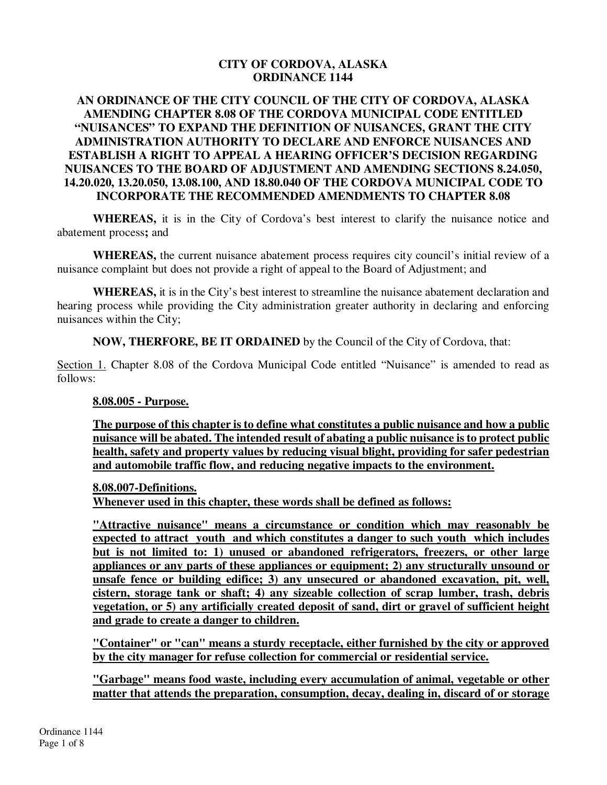### **CITY OF CORDOVA, ALASKA ORDINANCE 1144**

### **AN ORDINANCE OF THE CITY COUNCIL OF THE CITY OF CORDOVA, ALASKA AMENDING CHAPTER 8.08 OF THE CORDOVA MUNICIPAL CODE ENTITLED "NUISANCES" TO EXPAND THE DEFINITION OF NUISANCES, GRANT THE CITY ADMINISTRATION AUTHORITY TO DECLARE AND ENFORCE NUISANCES AND ESTABLISH A RIGHT TO APPEAL A HEARING OFFICER'S DECISION REGARDING NUISANCES TO THE BOARD OF ADJUSTMENT AND AMENDING SECTIONS 8.24.050, 14.20.020, 13.20.050, 13.08.100, AND 18.80.040 OF THE CORDOVA MUNICIPAL CODE TO INCORPORATE THE RECOMMENDED AMENDMENTS TO CHAPTER 8.08**

**WHEREAS,** it is in the City of Cordova's best interest to clarify the nuisance notice and abatement process**;** and

**WHEREAS,** the current nuisance abatement process requires city council's initial review of a nuisance complaint but does not provide a right of appeal to the Board of Adjustment; and

**WHEREAS,** it is in the City's best interest to streamline the nuisance abatement declaration and hearing process while providing the City administration greater authority in declaring and enforcing nuisances within the City;

**NOW, THERFORE, BE IT ORDAINED** by the Council of the City of Cordova, that:

Section 1. Chapter 8.08 of the Cordova Municipal Code entitled "Nuisance" is amended to read as follows:

#### **8.08.005 - Purpose.**

**The purpose of this chapter is to define what constitutes a public nuisance and how a public nuisance will be abated. The intended result of abating a public nuisance is to protect public health, safety and property values by reducing visual blight, providing for safer pedestrian and automobile traffic flow, and reducing negative impacts to the environment.** 

#### **8.08.007-Definitions.**

**Whenever used in this chapter, these words shall be defined as follows:** 

**"Attractive nuisance" means a circumstance or condition which may reasonably be expected to attract youth and which constitutes a danger to such youth which includes but is not limited to: 1) unused or abandoned refrigerators, freezers, or other large appliances or any parts of these appliances or equipment; 2) any structurally unsound or unsafe fence or building edifice; 3) any unsecured or abandoned excavation, pit, well, cistern, storage tank or shaft; 4) any sizeable collection of scrap lumber, trash, debris vegetation, or 5) any artificially created deposit of sand, dirt or gravel of sufficient height and grade to create a danger to children.** 

**"Container" or "can" means a sturdy receptacle, either furnished by the city or approved by the city manager for refuse collection for commercial or residential service.**

**"Garbage" means food waste, including every accumulation of animal, vegetable or other matter that attends the preparation, consumption, decay, dealing in, discard of or storage**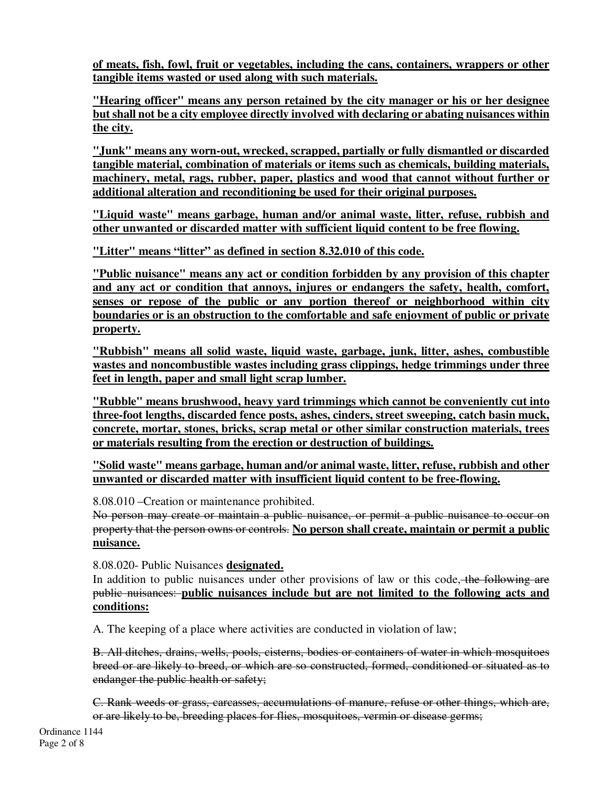**of meats, fish, fowl, fruit or vegetables, including the cans, containers, wrappers or other tangible items wasted or used along with such materials.** 

**"Hearing officer" means any person retained by the city manager or his or her designee but shall not be a city employee directly involved with declaring or abating nuisances within the city.**

**"Junk" means any worn-out, wrecked, scrapped, partially or fully dismantled or discarded tangible material, combination of materials or items such as chemicals, building materials, machinery, metal, rags, rubber, paper, plastics and wood that cannot without further or additional alteration and reconditioning be used for their original purposes.** 

**"Liquid waste" means garbage, human and/or animal waste, litter, refuse, rubbish and other unwanted or discarded matter with sufficient liquid content to be free flowing.** 

**"Litter" means "litter" as defined in section 8.32.010 of this code.** 

**"Public nuisance" means any act or condition forbidden by any provision of this chapter and any act or condition that annoys, injures or endangers the safety, health, comfort, senses or repose of the public or any portion thereof or neighborhood within city boundaries or is an obstruction to the comfortable and safe enjoyment of public or private property.** 

**"Rubbish" means all solid waste, liquid waste, garbage, junk, litter, ashes, combustible wastes and noncombustible wastes including grass clippings, hedge trimmings under three feet in length, paper and small light scrap lumber.**

**"Rubble" means brushwood, heavy yard trimmings which cannot be conveniently cut into three-foot lengths, discarded fence posts, ashes, cinders, street sweeping, catch basin muck, concrete, mortar, stones, bricks, scrap metal or other similar construction materials, trees or materials resulting from the erection or destruction of buildings.**

**"Solid waste" means garbage, human and/or animal waste, litter, refuse, rubbish and other unwanted or discarded matter with insufficient liquid content to be free-flowing.** 

8.08.010 –Creation or maintenance prohibited.

No person may create or maintain a public nuisance, or permit a public nuisance to occur on property that the person owns or controls. **No person shall create, maintain or permit a public nuisance.**

8.08.020- Public Nuisances **designated.**

In addition to public nuisances under other provisions of law or this code, the following are public nuisances: **public nuisances include but are not limited to the following acts and conditions:** 

A. The keeping of a place where activities are conducted in violation of law;

B. All ditches, drains, wells, pools, cisterns, bodies or containers of water in which mosquitoes breed or are likely to breed, or which are so constructed, formed, conditioned or situated as to endanger the public health or safety;

C. Rank weeds or grass, carcasses, accumulations of manure, refuse or other things, which are, or are likely to be, breeding places for flies, mosquitoes, vermin or disease germs;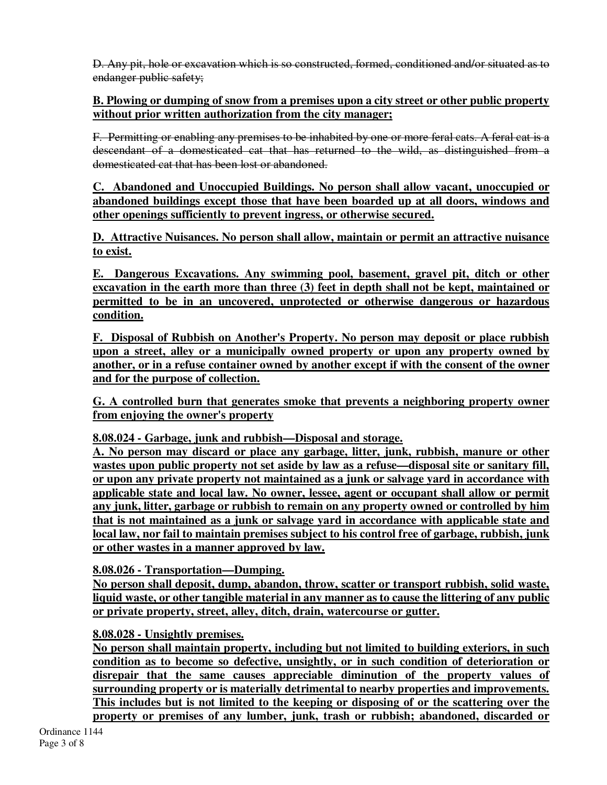D. Any pit, hole or excavation which is so constructed, formed, conditioned and/or situated as to endanger public safety;

## **B. Plowing or dumping of snow from a premises upon a city street or other public property without prior written authorization from the city manager;**

F. Permitting or enabling any premises to be inhabited by one or more feral cats. A feral cat is a descendant of a domesticated cat that has returned to the wild, as distinguished from a domesticated cat that has been lost or abandoned.

**C. Abandoned and Unoccupied Buildings. No person shall allow vacant, unoccupied or abandoned buildings except those that have been boarded up at all doors, windows and other openings sufficiently to prevent ingress, or otherwise secured.** 

**D. Attractive Nuisances. No person shall allow, maintain or permit an attractive nuisance to exist.** 

**E. Dangerous Excavations. Any swimming pool, basement, gravel pit, ditch or other excavation in the earth more than three (3) feet in depth shall not be kept, maintained or permitted to be in an uncovered, unprotected or otherwise dangerous or hazardous condition.** 

**F. Disposal of Rubbish on Another's Property. No person may deposit or place rubbish upon a street, alley or a municipally owned property or upon any property owned by another, or in a refuse container owned by another except if with the consent of the owner and for the purpose of collection.** 

**G. A controlled burn that generates smoke that prevents a neighboring property owner from enjoying the owner's property** 

**8.08.024 - Garbage, junk and rubbish—Disposal and storage.** 

**A. No person may discard or place any garbage, litter, junk, rubbish, manure or other wastes upon public property not set aside by law as a refuse—disposal site or sanitary fill, or upon any private property not maintained as a junk or salvage yard in accordance with applicable state and local law. No owner, lessee, agent or occupant shall allow or permit any junk, litter, garbage or rubbish to remain on any property owned or controlled by him that is not maintained as a junk or salvage yard in accordance with applicable state and local law, nor fail to maintain premises subject to his control free of garbage, rubbish, junk or other wastes in a manner approved by law.** 

# **8.08.026 - Transportation—Dumping.**

**No person shall deposit, dump, abandon, throw, scatter or transport rubbish, solid waste, liquid waste, or other tangible material in any manner as to cause the littering of any public or private property, street, alley, ditch, drain, watercourse or gutter.** 

## **8.08.028 - Unsightly premises.**

**No person shall maintain property, including but not limited to building exteriors, in such condition as to become so defective, unsightly, or in such condition of deterioration or disrepair that the same causes appreciable diminution of the property values of surrounding property or is materially detrimental to nearby properties and improvements. This includes but is not limited to the keeping or disposing of or the scattering over the property or premises of any lumber, junk, trash or rubbish; abandoned, discarded or**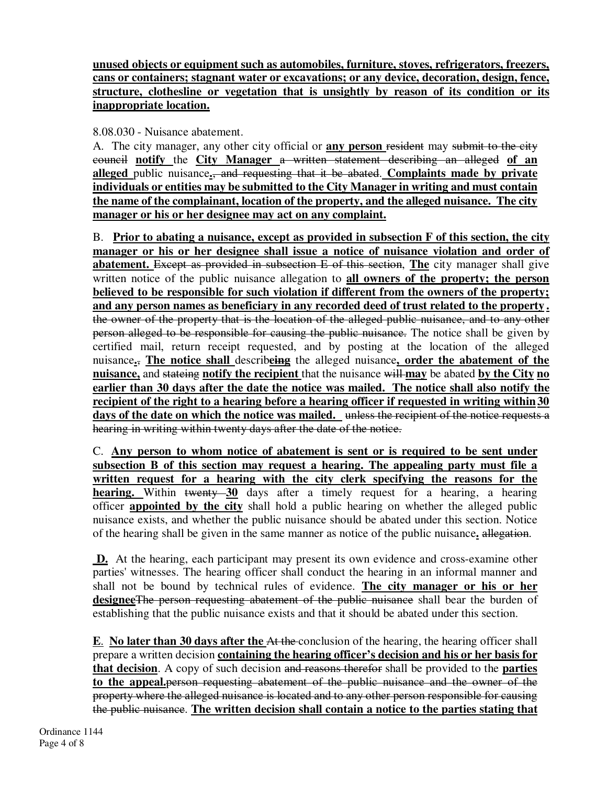**unused objects or equipment such as automobiles, furniture, stoves, refrigerators, freezers, cans or containers; stagnant water or excavations; or any device, decoration, design, fence, structure, clothesline or vegetation that is unsightly by reason of its condition or its inappropriate location.** 

8.08.030 - Nuisance abatement.

A. The city manager, any other city official or **any person** resident may submit to the city council **notify** the **City Manager** a written statement describing an alleged **of an alleged** public nuisance**.**, and requesting that it be abated. **Complaints made by private individuals or entities may be submitted to the City Manager in writing and must contain the name of the complainant, location of the property, and the alleged nuisance. The city manager or his or her designee may act on any complaint.** 

B. **Prior to abating a nuisance, except as provided in subsection F of this section, the city manager or his or her designee shall issue a notice of nuisance violation and order of abatement.** Except as provided in subsection E of this section, **The** city manager shall give written notice of the public nuisance allegation to **all owners of the property; the person believed to be responsible for such violation if different from the owners of the property; and any person names as beneficiary in any recorded deed of trust related to the property .** the owner of the property that is the location of the alleged public nuisance, and to any other person alleged to be responsible for causing the public nuisance. The notice shall be given by certified mail, return receipt requested, and by posting at the location of the alleged nuisance**.**, **The notice shall** describ**eing** the alleged nuisance**, order the abatement of the nuisance,** and stateing **notify the recipient** that the nuisance will **may** be abated **by the City no earlier than 30 days after the date the notice was mailed. The notice shall also notify the recipient of the right to a hearing before a hearing officer if requested in writing within30 days of the date on which the notice was mailed.** unless the recipient of the notice requests a hearing in writing within twenty days after the date of the notice.

C. **Any person to whom notice of abatement is sent or is required to be sent under subsection B of this section may request a hearing. The appealing party must file a written request for a hearing with the city clerk specifying the reasons for the hearing.** Within twenty 30 days after a timely request for a hearing, a hearing officer **appointed by the city** shall hold a public hearing on whether the alleged public nuisance exists, and whether the public nuisance should be abated under this section. Notice of the hearing shall be given in the same manner as notice of the public nuisance**.** allegation.

**D.** At the hearing, each participant may present its own evidence and cross-examine other parties' witnesses. The hearing officer shall conduct the hearing in an informal manner and shall not be bound by technical rules of evidence. **The city manager or his or her designee**The person requesting abatement of the public nuisance shall bear the burden of establishing that the public nuisance exists and that it should be abated under this section.

**E**. **No later than 30 days after the** At the conclusion of the hearing, the hearing officer shall prepare a written decision **containing the hearing officer's decision and his or her basis for that decision**. A copy of such decision and reasons therefor shall be provided to the **parties to the appeal.**person requesting abatement of the public nuisance and the owner of the property where the alleged nuisance is located and to any other person responsible for causing the public nuisance. **The written decision shall contain a notice to the parties stating that**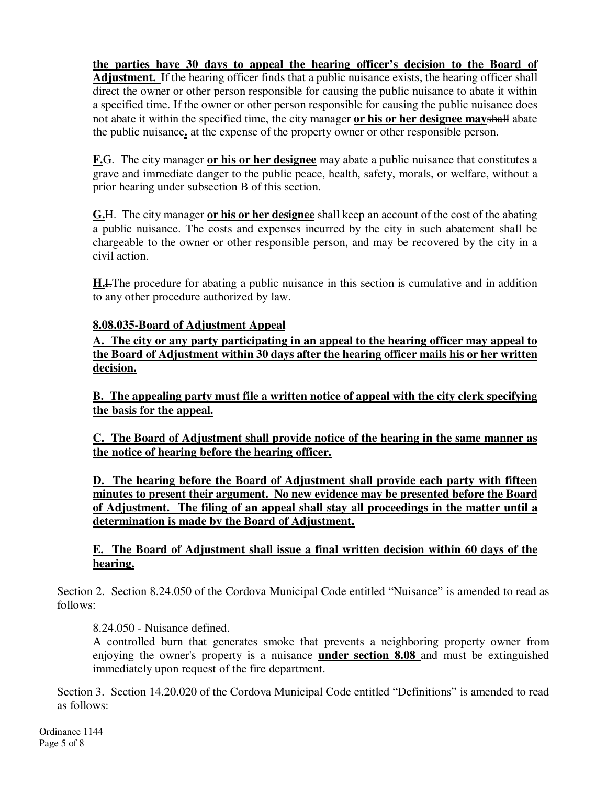**the parties have 30 days to appeal the hearing officer's decision to the Board of Adjustment.** If the hearing officer finds that a public nuisance exists, the hearing officer shall direct the owner or other person responsible for causing the public nuisance to abate it within a specified time. If the owner or other person responsible for causing the public nuisance does not abate it within the specified time, the city manager **or his or her designee may**shall abate the public nuisance**.** at the expense of the property owner or other responsible person.

**F.**G. The city manager **or his or her designee** may abate a public nuisance that constitutes a grave and immediate danger to the public peace, health, safety, morals, or welfare, without a prior hearing under subsection B of this section.

**G.**H. The city manager **or his or her designee** shall keep an account of the cost of the abating a public nuisance. The costs and expenses incurred by the city in such abatement shall be chargeable to the owner or other responsible person, and may be recovered by the city in a civil action.

**H.**I. The procedure for abating a public nuisance in this section is cumulative and in addition to any other procedure authorized by law.

## **8.08.035-Board of Adjustment Appeal**

**A. The city or any party participating in an appeal to the hearing officer may appeal to the Board of Adjustment within 30 days after the hearing officer mails his or her written decision.** 

**B. The appealing party must file a written notice of appeal with the city clerk specifying the basis for the appeal.** 

**C. The Board of Adjustment shall provide notice of the hearing in the same manner as the notice of hearing before the hearing officer.**

**D. The hearing before the Board of Adjustment shall provide each party with fifteen minutes to present their argument. No new evidence may be presented before the Board of Adjustment. The filing of an appeal shall stay all proceedings in the matter until a determination is made by the Board of Adjustment.** 

## **E. The Board of Adjustment shall issue a final written decision within 60 days of the hearing.**

Section 2. Section 8.24.050 of the Cordova Municipal Code entitled "Nuisance" is amended to read as follows:

8.24.050 - Nuisance defined.

A controlled burn that generates smoke that prevents a neighboring property owner from enjoying the owner's property is a nuisance **under section 8.08** and must be extinguished immediately upon request of the fire department.

Section 3. Section 14.20.020 of the Cordova Municipal Code entitled "Definitions" is amended to read as follows: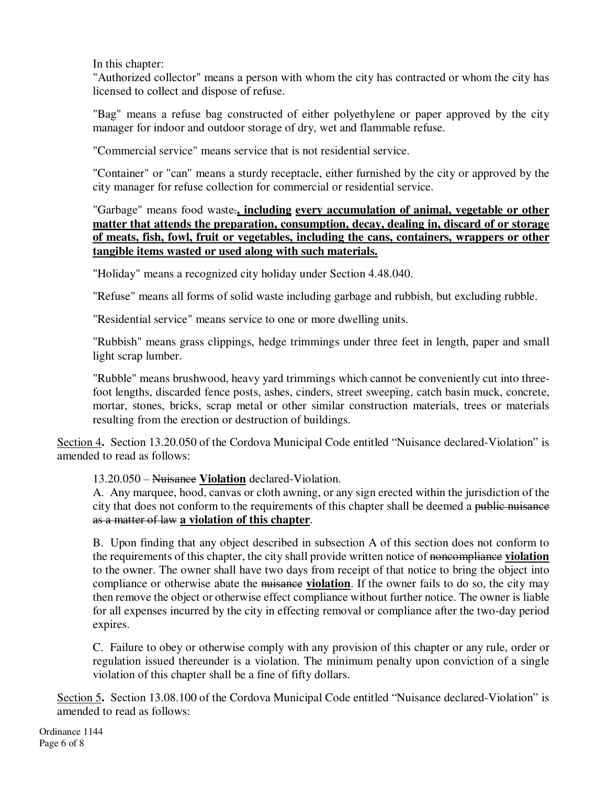In this chapter:

"Authorized collector" means a person with whom the city has contracted or whom the city has licensed to collect and dispose of refuse.

"Bag" means a refuse bag constructed of either polyethylene or paper approved by the city manager for indoor and outdoor storage of dry, wet and flammable refuse.

"Commercial service" means service that is not residential service.

"Container" or "can" means a sturdy receptacle, either furnished by the city or approved by the city manager for refuse collection for commercial or residential service.

"Garbage" means food waste.**, including every accumulation of animal, vegetable or other matter that attends the preparation, consumption, decay, dealing in, discard of or storage of meats, fish, fowl, fruit or vegetables, including the cans, containers, wrappers or other tangible items wasted or used along with such materials.** 

"Holiday" means a recognized city holiday under Section 4.48.040.

"Refuse" means all forms of solid waste including garbage and rubbish, but excluding rubble.

"Residential service" means service to one or more dwelling units.

"Rubbish" means grass clippings, hedge trimmings under three feet in length, paper and small light scrap lumber.

"Rubble" means brushwood, heavy yard trimmings which cannot be conveniently cut into threefoot lengths, discarded fence posts, ashes, cinders, street sweeping, catch basin muck, concrete, mortar, stones, bricks, scrap metal or other similar construction materials, trees or materials resulting from the erection or destruction of buildings.

Section 4**.** Section 13.20.050 of the Cordova Municipal Code entitled "Nuisance declared-Violation" is amended to read as follows:

13.20.050 – Nuisance **Violation** declared-Violation.

A. Any marquee, hood, canvas or cloth awning, or any sign erected within the jurisdiction of the city that does not conform to the requirements of this chapter shall be deemed a public nuisance as a matter of law **a violation of this chapter**.

B. Upon finding that any object described in subsection A of this section does not conform to the requirements of this chapter, the city shall provide written notice of noncompliance **violation** to the owner. The owner shall have two days from receipt of that notice to bring the object into compliance or otherwise abate the nuisance **violation**. If the owner fails to do so, the city may then remove the object or otherwise effect compliance without further notice. The owner is liable for all expenses incurred by the city in effecting removal or compliance after the two-day period expires.

C. Failure to obey or otherwise comply with any provision of this chapter or any rule, order or regulation issued thereunder is a violation. The minimum penalty upon conviction of a single violation of this chapter shall be a fine of fifty dollars.

Section 5**.** Section 13.08.100 of the Cordova Municipal Code entitled "Nuisance declared-Violation" is amended to read as follows: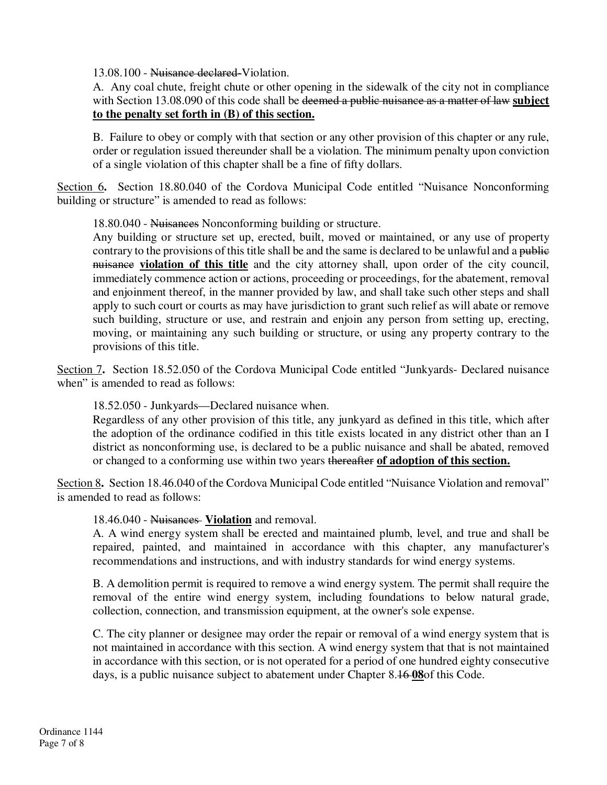13.08.100 - Nuisance declared-Violation.

A. Any coal chute, freight chute or other opening in the sidewalk of the city not in compliance with Section 13.08.090 of this code shall be deemed a public nuisance as a matter of law **subject to the penalty set forth in (B) of this section.**

B. Failure to obey or comply with that section or any other provision of this chapter or any rule, order or regulation issued thereunder shall be a violation. The minimum penalty upon conviction of a single violation of this chapter shall be a fine of fifty dollars.

Section 6**.** Section 18.80.040 of the Cordova Municipal Code entitled "Nuisance Nonconforming building or structure" is amended to read as follows:

18.80.040 - Nuisances Nonconforming building or structure.

Any building or structure set up, erected, built, moved or maintained, or any use of property contrary to the provisions of this title shall be and the same is declared to be unlawful and a public nuisance **violation of this title** and the city attorney shall, upon order of the city council, immediately commence action or actions, proceeding or proceedings, for the abatement, removal and enjoinment thereof, in the manner provided by law, and shall take such other steps and shall apply to such court or courts as may have jurisdiction to grant such relief as will abate or remove such building, structure or use, and restrain and enjoin any person from setting up, erecting, moving, or maintaining any such building or structure, or using any property contrary to the provisions of this title.

Section 7**.** Section 18.52.050 of the Cordova Municipal Code entitled "Junkyards- Declared nuisance when" is amended to read as follows:

18.52.050 - Junkyards—Declared nuisance when.

Regardless of any other provision of this title, any junkyard as defined in this title, which after the adoption of the ordinance codified in this title exists located in any district other than an I district as nonconforming use, is declared to be a public nuisance and shall be abated, removed or changed to a conforming use within two years thereafter **of adoption of this section.**

Section 8**.** Section 18.46.040 of the Cordova Municipal Code entitled "Nuisance Violation and removal" is amended to read as follows:

18.46.040 - Nuisances **Violation** and removal.

A. A wind energy system shall be erected and maintained plumb, level, and true and shall be repaired, painted, and maintained in accordance with this chapter, any manufacturer's recommendations and instructions, and with industry standards for wind energy systems.

B. A demolition permit is required to remove a wind energy system. The permit shall require the removal of the entire wind energy system, including foundations to below natural grade, collection, connection, and transmission equipment, at the owner's sole expense.

C. The city planner or designee may order the repair or removal of a wind energy system that is not maintained in accordance with this section. A wind energy system that that is not maintained in accordance with this section, or is not operated for a period of one hundred eighty consecutive days, is a public nuisance subject to abatement under Chapter 8.16 **08**of this Code.